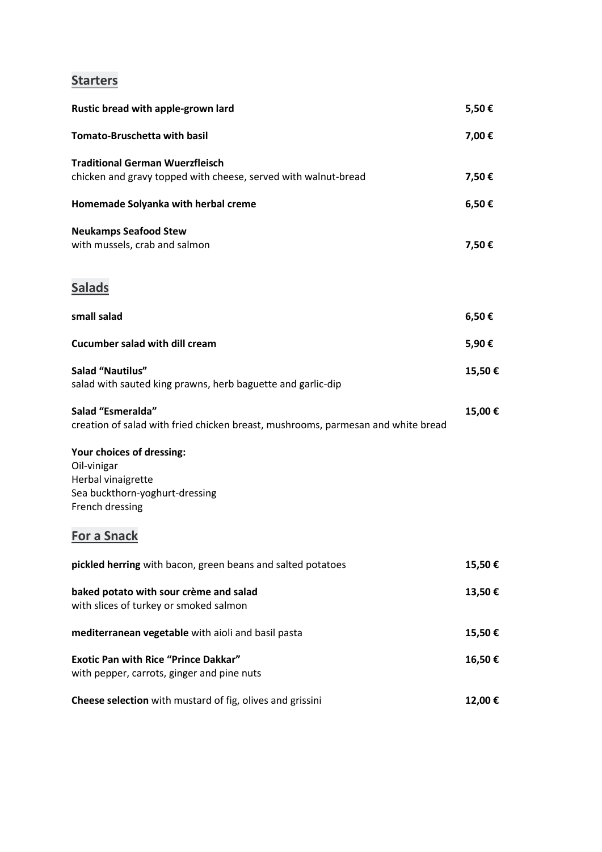## **Starters**

| Rustic bread with apple-grown lard                                                                                  | 5,50€  |
|---------------------------------------------------------------------------------------------------------------------|--------|
| <b>Tomato-Bruschetta with basil</b>                                                                                 | 7,00€  |
| <b>Traditional German Wuerzfleisch</b><br>chicken and gravy topped with cheese, served with walnut-bread            | 7,50€  |
| Homemade Solyanka with herbal creme                                                                                 | 6,50€  |
| <b>Neukamps Seafood Stew</b><br>with mussels, crab and salmon                                                       | 7,50€  |
| <b>Salads</b>                                                                                                       |        |
| small salad                                                                                                         | 6,50€  |
| <b>Cucumber salad with dill cream</b>                                                                               | 5,90€  |
| <b>Salad "Nautilus"</b><br>salad with sauted king prawns, herb baguette and garlic-dip                              | 15,50€ |
| Salad "Esmeralda"<br>creation of salad with fried chicken breast, mushrooms, parmesan and white bread               | 15,00€ |
| Your choices of dressing:<br>Oil-vinigar<br>Herbal vinaigrette<br>Sea buckthorn-yoghurt-dressing<br>French dressing |        |
| <b>For a Snack</b>                                                                                                  |        |
| pickled herring with bacon, green beans and salted potatoes                                                         | 15,50€ |
| baked potato with sour crème and salad<br>with slices of turkey or smoked salmon                                    | 13,50€ |
| mediterranean vegetable with aioli and basil pasta                                                                  | 15,50€ |
| <b>Exotic Pan with Rice "Prince Dakkar"</b><br>with pepper, carrots, ginger and pine nuts                           | 16,50€ |
| Cheese selection with mustard of fig, olives and grissini                                                           | 12,00€ |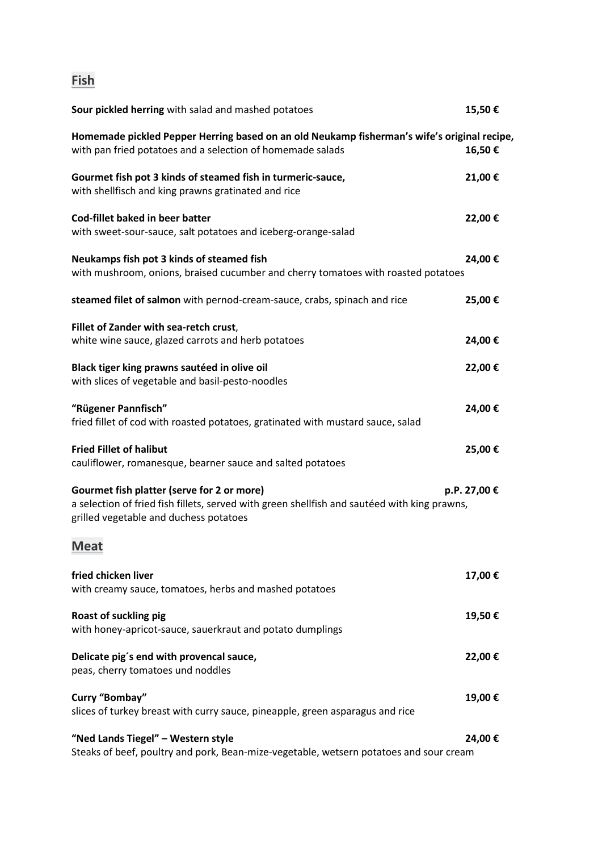## **Fish**

| Sour pickled herring with salad and mashed potatoes                                                                                                                                  | 15,50€       |
|--------------------------------------------------------------------------------------------------------------------------------------------------------------------------------------|--------------|
| Homemade pickled Pepper Herring based on an old Neukamp fisherman's wife's original recipe,<br>with pan fried potatoes and a selection of homemade salads                            | 16,50€       |
| Gourmet fish pot 3 kinds of steamed fish in turmeric-sauce,<br>with shellfisch and king prawns gratinated and rice                                                                   | 21,00€       |
| Cod-fillet baked in beer batter<br>with sweet-sour-sauce, salt potatoes and iceberg-orange-salad                                                                                     | 22,00€       |
| Neukamps fish pot 3 kinds of steamed fish<br>with mushroom, onions, braised cucumber and cherry tomatoes with roasted potatoes                                                       | 24,00€       |
| steamed filet of salmon with pernod-cream-sauce, crabs, spinach and rice                                                                                                             | 25,00€       |
| Fillet of Zander with sea-retch crust,<br>white wine sauce, glazed carrots and herb potatoes                                                                                         | 24,00€       |
| Black tiger king prawns sautéed in olive oil<br>with slices of vegetable and basil-pesto-noodles                                                                                     | 22,00€       |
| "Rügener Pannfisch"<br>fried fillet of cod with roasted potatoes, gratinated with mustard sauce, salad                                                                               | 24,00€       |
| <b>Fried Fillet of halibut</b><br>cauliflower, romanesque, bearner sauce and salted potatoes                                                                                         | 25,00€       |
| Gourmet fish platter (serve for 2 or more)<br>a selection of fried fish fillets, served with green shellfish and sautéed with king prawns,<br>grilled vegetable and duchess potatoes | p.P. 27,00 € |
| <b>Meat</b>                                                                                                                                                                          |              |
| fried chicken liver<br>with creamy sauce, tomatoes, herbs and mashed potatoes                                                                                                        | 17,00€       |
| Roast of suckling pig<br>with honey-apricot-sauce, sauerkraut and potato dumplings                                                                                                   | 19,50€       |
| Delicate pig's end with provencal sauce,<br>peas, cherry tomatoes und noddles                                                                                                        | 22,00€       |
| Curry "Bombay"<br>slices of turkey breast with curry sauce, pineapple, green asparagus and rice                                                                                      | 19,00€       |
| "Ned Lands Tiegel" - Western style<br>Steaks of beef, poultry and pork, Bean-mize-vegetable, wetsern potatoes and sour cream                                                         | 24,00€       |